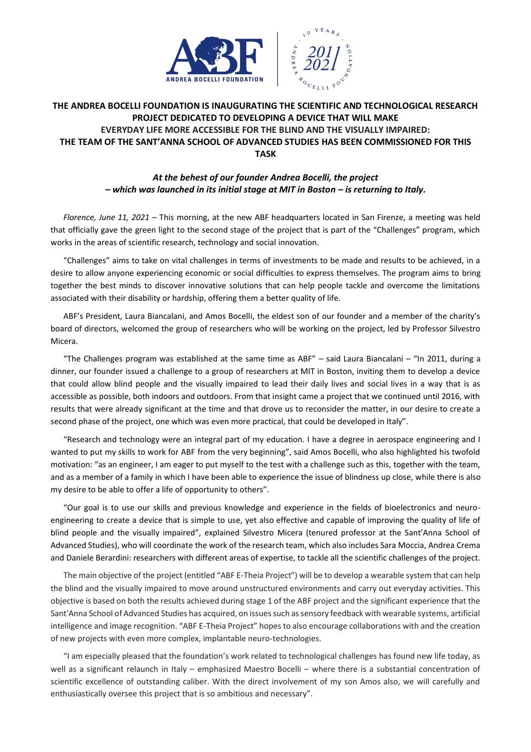



## **THE ANDREA BOCELLI FOUNDATION IS INAUGURATING THE SCIENTIFIC AND TECHNOLOGICAL RESEARCH PROJECT DEDICATED TO DEVELOPING A DEVICE THAT WILL MAKE EVERYDAY LIFE MORE ACCESSIBLE FOR THE BLIND AND THE VISUALLY IMPAIRED: THE TEAM OF THE SANT'ANNA SCHOOL OF ADVANCED STUDIES HAS BEEN COMMISSIONED FOR THIS TASK**

## *At the behest of our founder Andrea Bocelli, the project – which was launched in its initial stage at MIT in Boston – is returning to Italy.*

*Florence, June 11, 2021* – This morning, at the new ABF headquarters located in San Firenze, a meeting was held that officially gave the green light to the second stage of the project that is part of the "Challenges" program, which works in the areas of scientific research, technology and social innovation.

"Challenges" aims to take on vital challenges in terms of investments to be made and results to be achieved, in a desire to allow anyone experiencing economic or social difficulties to express themselves. The program aims to bring together the best minds to discover innovative solutions that can help people tackle and overcome the limitations associated with their disability or hardship, offering them a better quality of life.

ABF's President, Laura Biancalani, and Amos Bocelli, the eldest son of our founder and a member of the charity's board of directors, welcomed the group of researchers who will be working on the project, led by Professor Silvestro Micera.

"The Challenges program was established at the same time as ABF" – said Laura Biancalani – "In 2011, during a dinner, our founder issued a challenge to a group of researchers at MIT in Boston, inviting them to develop a device that could allow blind people and the visually impaired to lead their daily lives and social lives in a way that is as accessible as possible, both indoors and outdoors. From that insight came a project that we continued until 2016, with results that were already significant at the time and that drove us to reconsider the matter, in our desire to create a second phase of the project, one which was even more practical, that could be developed in Italy".

"Research and technology were an integral part of my education. I have a degree in aerospace engineering and I wanted to put my skills to work for ABF from the very beginning", said Amos Bocelli, who also highlighted his twofold motivation: "as an engineer, I am eager to put myself to the test with a challenge such as this, together with the team, and as a member of a family in which I have been able to experience the issue of blindness up close, while there is also my desire to be able to offer a life of opportunity to others".

"Our goal is to use our skills and previous knowledge and experience in the fields of bioelectronics and neuroengineering to create a device that is simple to use, yet also effective and capable of improving the quality of life of blind people and the visually impaired", explained Silvestro Micera (tenured professor at the Sant'Anna School of Advanced Studies), who will coordinate the work of the research team, which also includes Sara Moccia, Andrea Crema and Daniele Berardini: researchers with different areas of expertise, to tackle all the scientific challenges of the project.

The main objective of the project (entitled "ABF E-Theia Project") will be to develop a wearable system that can help the blind and the visually impaired to move around unstructured environments and carry out everyday activities. This objective is based on both the results achieved during stage 1 of the ABF project and the significant experience that the Sant'Anna School of Advanced Studies has acquired, on issues such as sensory feedback with wearable systems, artificial intelligence and image recognition. "ABF E-Theia Project" hopes to also encourage collaborations with and the creation of new projects with even more complex, implantable neuro-technologies.

"I am especially pleased that the foundation's work related to technological challenges has found new life today, as well as a significant relaunch in Italy – emphasized Maestro Bocelli – where there is a substantial concentration of scientific excellence of outstanding caliber. With the direct involvement of my son Amos also, we will carefully and enthusiastically oversee this project that is so ambitious and necessary".